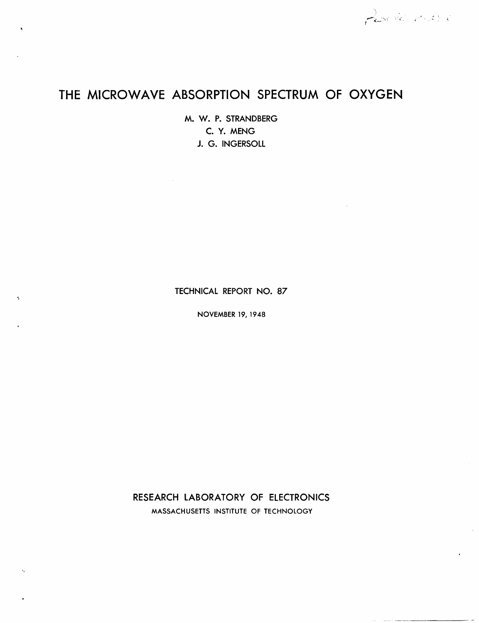# **THE MICROWAVE ABSORPTION SPECTRUM OF OXYGEN**

M. W. P. STRANDBERG C. Y. MENG J. G. INGERSOLL

 $\sim$   $\sim$ 

×,

TECHNICAL REPORT NO. 87

NOVEMBER 19, 1948

RESEARCH LABORATORY OF ELECTRONICS MASSACHUSETTS INSTITUTE OF TECHNOLOGY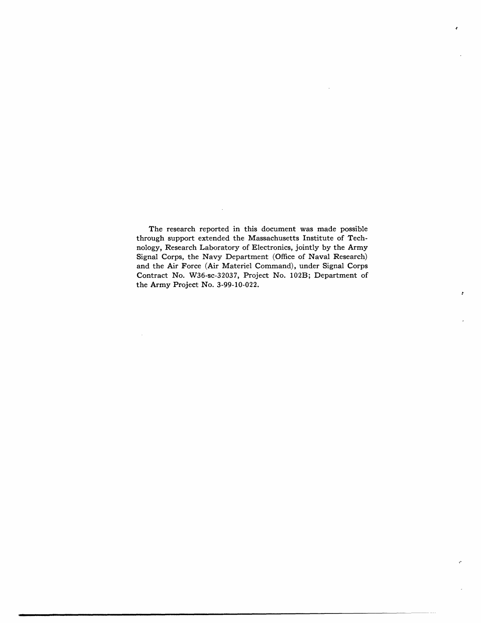The research reported in this document was made possible through support extended the Massachusetts Institute of Technology, Research Laboratory of Electronics, jointly by the Army Signal Corps, the Navy Department (Office of Naval Research) and the Air Force (Air Materiel Command), under Signal Corps Contract No. W36-sc-32037, Project No. 102B; Department of the Army Project No. 3-99-10-022.

in a station of the company of the company of the company of the company of the company of the company of the company of the company of the company of the company of the company of the company of the company of the company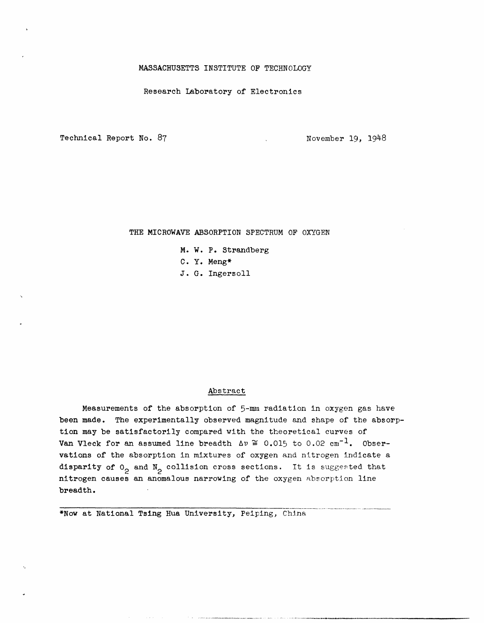### **MASSACHUSETTS** INSTITUTE OF TECHNOLOGY

Research Laboratory of Electronics

Technical Report No. 87 November 19, 1948

# THE MICROWAVE ABSORPTION SPECTRUM OF OXYGEN

- M. W. P. Strandberg
- C. Y. Meng\*
- J. G. Ingersoll

## Abstract

Measurements of the absorption of 5-nmm radiation in oxygen gas have been made. The experimentally observed magnitude and shape of the absorption may be satisfactorily compared with the theoretical curves of Van Vleck for an assumed line breadth  $\Delta v \approx 0.015$  to 0.02 cm<sup>-1</sup>. Observations of the absorption in mixtures of oxygen and nitrogen indicate a disparity of  $0<sub>2</sub>$  and  $N<sub>2</sub>$  collision cross sections. It is suggested that nitrogen causes an anomalous narrowing of the oxygen absorption line breadth.

.... -- - ------

\*Now at National Tsing Hua University, Peiping, China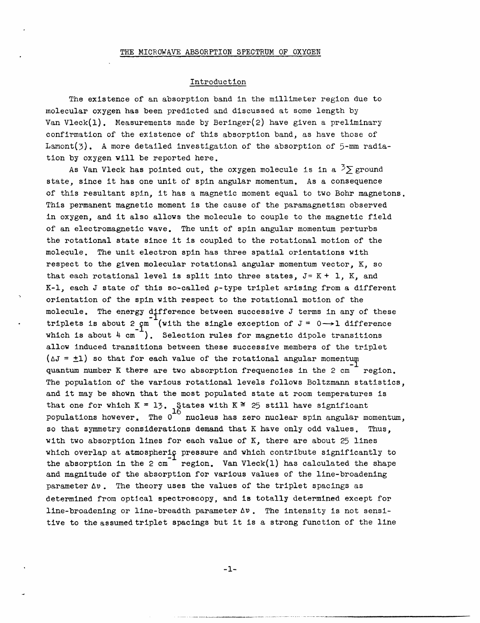## Introduction

The existence of an absorption band in the millimeter region due to molecular oxygen has been predicted and discussed at some length by Van Vleck(l). Measurements made by Beringer(2) have given a preliminary confirmation of the existence of this absorption band, as have those of Lamont(3). A more detailed investigation of the absorption of 5-mm radiation by oxygen will be reported here.

As Van Vleck has pointed out, the oxygen molecule is in a  $\frac{3}{2}$  ground state, since it has one unit of spin angular momentum. As a consequence of this resultant spin, it has a magnetic moment equal to two Bohr magnetons. This permanent magnetic moment is the cause of the paramagnetism observed in oxygen, and it also allows the molecule to couple to the magnetic field of an electromagnetic wave. The unit of spin angular momentum perturbs the rotational state since it is coupled to the rotational motion of the molecule. The unit electron spin has three spatial orientations with respect to the given molecular rotational angular momentum vector, K, so that each rotational level is split into three states,  $J = K + 1$ , K, and  $K-1$ , each J state of this so-called  $\rho$ -type triplet arising from a different orientation of the spin with respect to the rotational motion of the molecule. The energy difference between successive J terms in any of these triplets is about 2  $\varphi$ m (with the single exception of J = 0  $\rightarrow$  1 difference which is about  $4 \text{ cm}^{-1}$ ). Selection rules for magnetic dipole transitions allow induced transitions between these successive members of the triplet ( $\Delta J = \pm 1$ ) so that for each value of the rotational angular momentum quantum number K there are two absorption frequencies in the 2 cm region. The population of the various rotational levels follows Boltzmann statistics, and it may be shown that the most populated state at room temperatures is that one for which K = 13. States with K  $\cong$  25 still have significant populations however. The  $0^{\sim}$  nucleus has zero nuclear spin angular momentum, so that symmetry considerations demand that K have only odd values. Thus, with two absorption lines for each value of K, there are about 25 lines which overlap at atmospheric pressure and which contribute significantly to the absorption in the 2 cm<sup> $-$ </sup> region. Van Vleck(1) has calculated the shape and magnitude of the absorption for various values of the line-broadening parameter  $\Delta v$ . The theory uses the values of the triplet spacings as determined from optical spectroscopy, and is totally determined except for line-broadening or line-breadth parameter  $\Delta v$ . The intensity is not sensitive to the assumed triplet spacings but it is a strong function of the line

-1-

-II - I---`-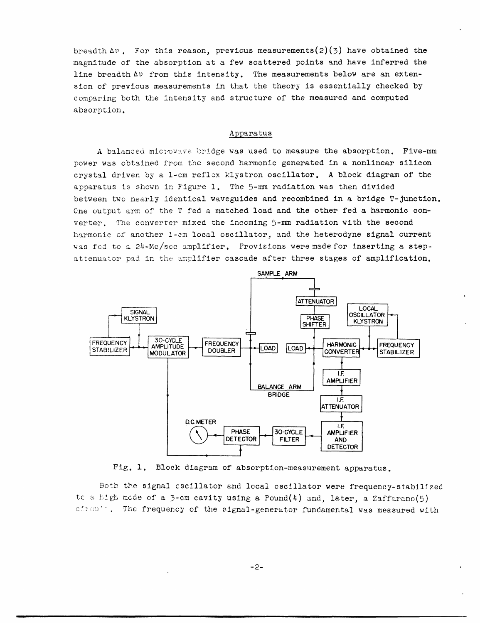breadth  $\Delta v$ . For this reason, previous measurements(2)(3) have obtained the magnitude of the absorption at a few scattered points and have inferred the line breadth  $\Delta v$  from this intensity. The measurements below are an extension of previous measurements in that the theory is essentially checked by comparing both the intensity and structure of the measured and computed absorption.

#### Apparatus

A balanced microwave bridge was used to measure the absorption. Five-mm power was obtained from the second harmonic generated in a nonlinear silicon crystal driven by a 1-cm reflex klystron oscillator. A block diagram of the apparatus is shown in Figure 1. The 5-mm radiation was then divided between two nearly identical waveguides and recombined in a bridge T-junction. One output arm of the T fed a matched load and the other fed a harmonic converter. The converter mixed the incoming 5-mm radiation with the second harmonic of another 1-cm local oscillator, and the heterodyne signal current was fed to a 24-Mc/sec amplifier. Provisions were made for inserting a stepattenuator pad in the amplifier cascade after three stages of amplification.



Fig. 1. Block diagram of absorption-measurement apparatus.

Both the signal oscillator and lccal oscillator were frequency-stabilized tc a high mode of a 3-cm cavity using a Pound(4) and, later, a Zaffarano(5) cires!', The frequency of the signal-generator fundamental was measured with

I I I \_ \_ \_ \_ -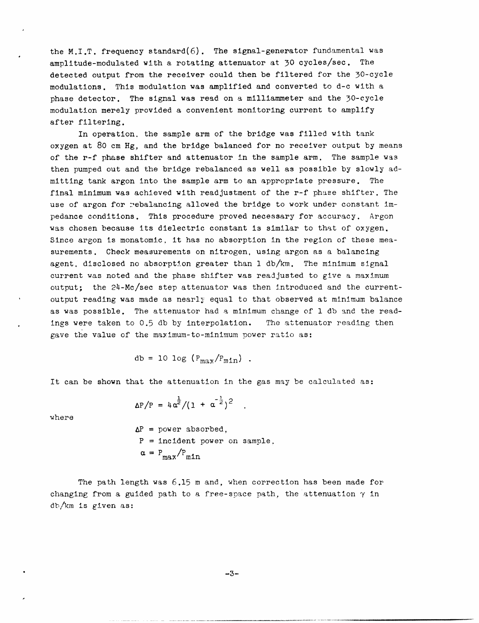the M.I.T. frequency standard $(6)$ . The signal-generator fundamental was amplitude-modulated with a rotating attenuator at 30 cycles/sec. The detected output from the receiver could then be filtered for the 30-cycle modulations. This modulation was amplified and converted to d-c with a phase detector. The signal was read on a milliammeter and the 30-cycle modulation merely provided a convenient monitoring current to amplify after filtering.

In operation. the sample arm of the bridge was filled with tank oxygen at 80 cm Hg, and the bridge balanced for no receiver output by means of the r-f phase shifter and attenuator in the sample arm. The sample was then pumped out and the bridge rebalanced as well as possible by slowly admitting tank argon into the sample arm to an appropriate pressure. The final minimum was achieved with readjustment of the r-f phase shifter. The use of argon for rebalancing allowed the bridge to work under constant impedance conditions. This procedure proved necessary for accuracy. Argon was chosen because its dielectric constant is similar to that of oxygen. Since argon is monatomic, it has no absorption in the region of these measurements. Check measurements on nitrogen, using argon as a balancing agent, disclosed no absorption greater than 1 db/km. The minimum signal current was noted and the phase shifter was readjusted to give a maximum output; the 24-Mc/sec step attenuator was then introduced and the currentoutput reading was made as nearly equal to that observed at minimam balance as was possible. The attenuator had a minimum change of 1 db and the readings were taken to 0.5 db by interpolation. The attenuator reading then gave the value of the maximum-to-minimum power ratio as:

$$
db = 10 \log (P_{max}/P_{min})
$$
.

It can be shown that the attenuation in the gas may be calculated as:

$$
\Delta P/P = 4\alpha^{\frac{1}{2}}/(1 + \alpha^{-\frac{1}{2}})^2
$$

where

$$
\Delta P = power absorbed,P = incident power on sample,
$$
\alpha = P_{max}/P_{min}
$$
$$

The path length was 6.15 m and, when correction has been made for changing from a guided path to a free-space path, the attenuation  $\gamma$  in db/km is given as:

-3-

\_1 1\_1II IILXI 1 ·--1411.1 1\_1\_^\_1-·\_.\_-·1- --- -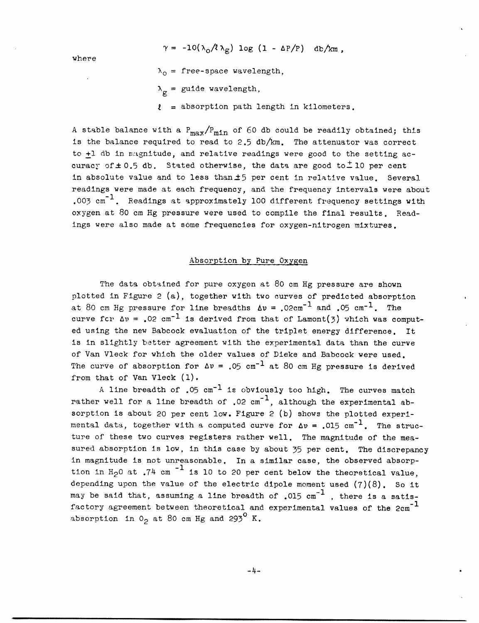$\gamma = -10(\lambda_0/\ell \lambda_g) \log (1 - \Delta P/P)$  db/km,

where

- L

$$
\lambda_0
$$
 = free-space wavelength,

 $\lambda_{\sigma}$  = guide wavelength,

 $l =$  absorption path length in kilometers.

A stable balance with a  $P_{max}/P_{min}$  of 60 db could be readily obtained; this is the balance required to read to 2.5 db/km. The attenuator was correct to +1 db in m:agnitude, and relative readings were good to the setting accuracy of  $\pm$  0.5 db. Stated otherwise, the data are good to  $\pm$  10 per cent in absolute value and to less than  $\pm 5$  per cent in relative value. Several readings were made at each frequency, and the frequency intervals were about .003  $cm^{-1}$ . Readings at approximately 100 different frequency settings with oxygen at 80 cm Hg pressure were used to compile the final results. Readings were also made at some frequencies for oxygen-nitrogen mixtures.

## Absorption by Pure Oxygen

The data obtained for pure oxygen at 80 cm Hg pressure are shown plotted in Figure 2 (a), together with two curves of predicted absorption at 80 cm Hg pressure for line breadths  $\Delta v = .02 \text{cm}^{-1}$  and .05 cm<sup>-1</sup>. The curve fcr  $\Delta v = 0.02$  cm<sup>-1</sup> is derived from that of Lamont(3) which was computed using the new Babcock evaluation of the triplet energy difference. It is in slightly better agreement with the experimental data than the curve of Van Vleck for which the older values of Dieke and Babcock were used. The curve of absorption for  $\Delta v = .05$  cm<sup>-1</sup> at 80 cm Hg pressure is derived from that of Van Vleck (1).

A line breadth of  $.05 \text{ cm}^{-1}$  is obviously too high. The curves match rather well for a line breadth of  $.02 \text{ cm}^{-1}$ , although the experimental absorption is about 20 per cent low. Figure 2 (b) shows the plotted experimental data, together with a computed curve for  $\Delta v = .015$  cm<sup>-1</sup>. The structure of these two curves registers rather well. The magnitude of the measured absorption is low, in this case by about 35 per cent. The discrepancy in magnitude is not unreasonable. In a similar case, the observed absorp tion in  $H_2$ 0 at .74 cm<sup>-1</sup> is 10 to 20 per cent below the theoretical value, depending upon the value of the electric dipole moment used (7)(8). So it may be said that, assuming a line breadth of .015  $cm^{-1}$  , there is a satisfactory agreement between theoretical and experimental values of the 2cm<sup>-1</sup> absorption in  $0<sub>2</sub>$  at 80 cm Hg and 293<sup>0</sup> K.

-4-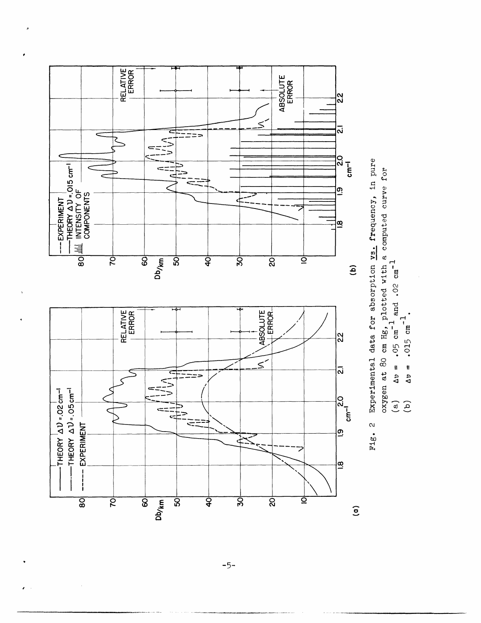

٠,

 $-5-$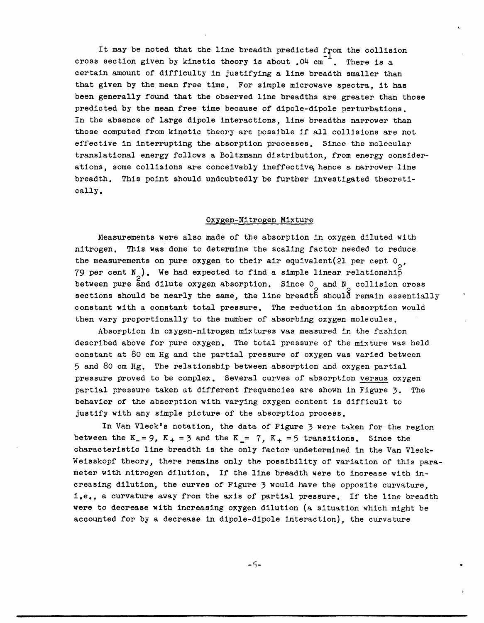It may be noted that the line breadth predicted from the collision cross section given by kinetic theory is about  $.04$  cm<sup>-1</sup>. There is a certain amount of difficulty in justifying a line breadth smaller than that given by the mean free time. For simple microwave spectra, it has been generally found that the observed line breadths are greater than those predicted by the mean free time because of dipole-dipole perturbations. In the absence of large dipole interactions, line breadths narrower than those computed from kinetic theory are possible if all collisions are not effective in interrupting the absorption processes. Since the molecular translational energy follows a Boltzmann distribution, from energy considerations, some collisions are conceivably ineffective, hence a narrower line breadth. This point should undoubtedly be further investigated theoretically.

### Oxygen-Nitrogen Mixture

Measurements were also made of the absorption in oxygen diluted with nitrogen. This was done to determine the scaling factor needed to reduce the measurements on pure oxygen to their air equivalent(21 per cent  $0\alpha$ , 79 per cent N<sub>o</sub>). We had expected to find a simple linear relationship between pure and dilute oxygen absorption. Since  $0_$  and  $N_$  collision cross sections should be nearly the same, the line breadth should remain essentially constant with a constant total pressure. The reduction in absorption would then vary proportionally to the number of absorbing oxygen molecules.

Absorption in oxygen-nitrogen mixtures was measured in the fashion described above for pure oxygen. The total pressure of the mixture was held constant at 80 cm Hg and the partial pressure of oxygen was varied between 5 and 80 cm Hg. The relationship between absorption and oxygen partial pressure proved to be complex. Several curves of absorption versus oxygen partial pressure taken at different frequencies are shown in Figure 3. The behavior of the absorption with varying oxygen content is difficult to justify with any simple picture of the absorption process.

In Van Vleck's notation, the data of Figure 3 were taken for the region between the K<sub>-</sub>= 9, K<sub>+</sub> = 3 and the K<sub>-</sub>= 7, K<sub>+</sub> = 5 transitions. Since the characteristic line breadth is the only factor undetermined in the Van Vleck-Weisskopf theory, there remains only the possibility of variation of this parameter with nitrogen dilution. If the line breadth were to increase with increasing dilution, the curves of Figure 3 would have the opposite curvature, i.e., a curvature away from the axis of partial pressure. If the line breadth were to decrease with increasing oxygen dilution (a situation which might be accounted for by a decrease in dipole-dipole interaction), the curvature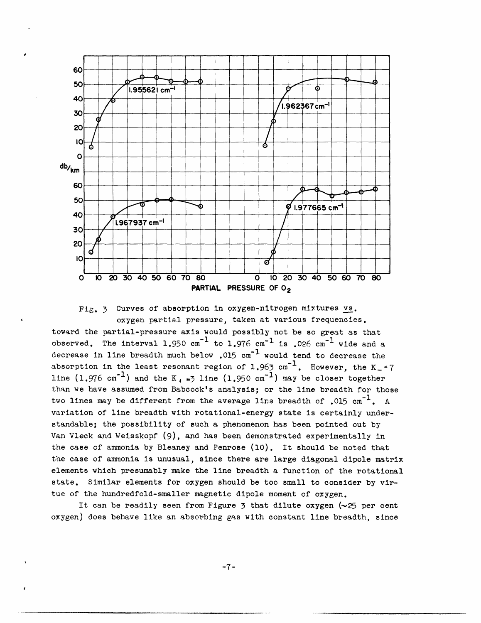

Fig, 3 Curves of absorption in oxygen-nitrogen mixtures vs. oxygen partial pressure, taken at various frequencies.

toward the partial-pressure axis would possibly not be so great as that observed. The interval 1.950  $cm^{-1}$  to 1.976  $cm^{-1}$  is .026  $cm^{-1}$  wide and a decrease in line breadth much below .015  $cm^{-1}$  would tend to decrease the absorption in the least resonant region of 1.963  $cm^{-1}$ . However, the K<sub>-</sub>=7 line  $(1.976 \text{ cm}^{-1})$  and the K<sub>+</sub> $\frac{1}{2}$  line  $(1.950 \text{ cm}^{-1})$  may be closer together than we have assumed from Babcock's analysis; or the line breadth for those two lines may be different from the average line breadth of  $.015 \text{ cm}^{-1}$ . A variation of line breadth with rotational-energy state is certainly understandable; the possibility of such a phenomenon has been pointed out by Van Vleck and Weisskopf (9), and has been demonstrated experimentally in the case of ammonia by Bleaney and Penrose (10). It should be noted that the case of ammonia is unusual, since there are large diagonal dipole matrix elements which presumably make the line breadth a function of the rotational state. Similar elements for oxygen should be too small to consider by virtue of the hundredfold-smaller magnetic dipole moment of oxygen.

It can be readily seen from Figure  $\frac{1}{2}$  that dilute oxygen (~25 per cent oxygen) does behave like an absorbing gas with constant line breadth, since

-7-

--I----·---Y Il---1UIIII\* --9LIIYIIIII·II.IT.- -.I-·-----------\_·---· *^IIIIID···ll--^l·C-----·l\_·--····P--* -- - II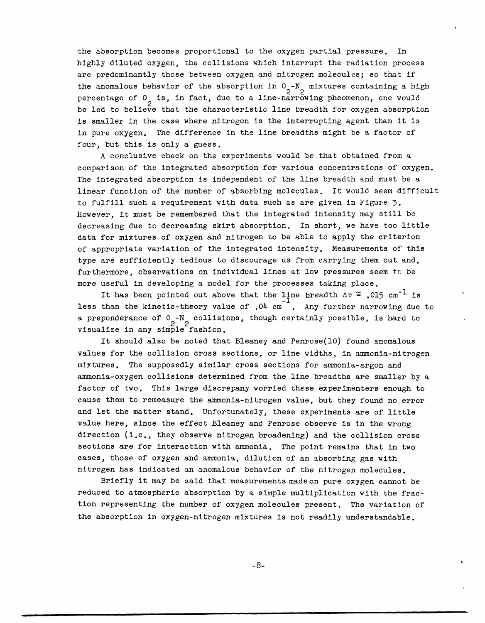the absorption becomes proportional to the oxygen partial pressure. In highly diluted oxygen, the collisions which interrupt the radiation process are predominantly those between oxygen and nitrogen molecules; so that if the anomalous behavior of the absorption in  $0 - N$  mixtures containing a high percentage of  $0<sub>2</sub>$  is, in fact, due to a line-narrowing pheomenon, one would be led to believe that the characteristic line breadth for oxygen absorption is smaller in the case where nitrogen is the interrupting agent than it is in pure oxygen. The difference in the line breadths might be a factor of four, but this is only a guess.

A conclusive check on the experiments would be that obtained from a comparison of the integrated absorption for various concentrations of oxygen. The integrated absorption is independent of the line breadth and must be a linear function of the number of absorbing molecules. It would seem difficult to fulfill such a requirement with data such as are given in Figure 3. However, it must be remembered that the integrated intensity may still be decreasing due to decreasing skirt absorption. In short, we have too little data for mixtures of oxygen and nitrogen to be able to apply the criterion of appropriate variation of the integrated intensity. Measurements of this type are sufficiently tedious to discourage us from carrying them out and, furthermore, observations on individual lines at low pressures seem to be more useful in developing a model for the processes taking place.

It has been pointed out above that the line breadth  $\Delta v \approx .015$  cm<sup>-1</sup> is less than the kinetic-theory value of .04 cm<sup>-</sup>. Any further narrowing due to a preponderance of 0 -N collisions, though certainly possible, is hard to visualize in any simple fashion.

It should also be noted that Bleaney and Penrose(10) found anomalous values for the collision cross sections, or line widths, in ammonia-nitrogen mixtures. The supposedly similar cross sections for ammonia-argon and ammonia-oxygen collisions determined from the line breadths are smaller by a factor of two. This large discrepany worried these experimenters enough to cause them to remeasure the ammonia-nitrogen value, but they found no error and let the matter stand. Unfortunately, these experiments are of little value here, since the effect Bleaney and Penrose observe is in the wrong direction (i.e., they observe nitrogen broadening) and the collision cross sections are for interaction with ammonia. The point remains that in two cases, those of oxygen and ammonia, dilution of an absorbing gas with nitrogen has indicated an anomalous behavior of the nitrogen molecules.

Briefly it may be said that measurements made on pure oxygen cannot be reduced to atmospheric absorption by a simple multiplication with the fraction representing the number of oxygen molecules present. The variation of the absorption in oxygen-nitrogen mixtures is not readily understandable.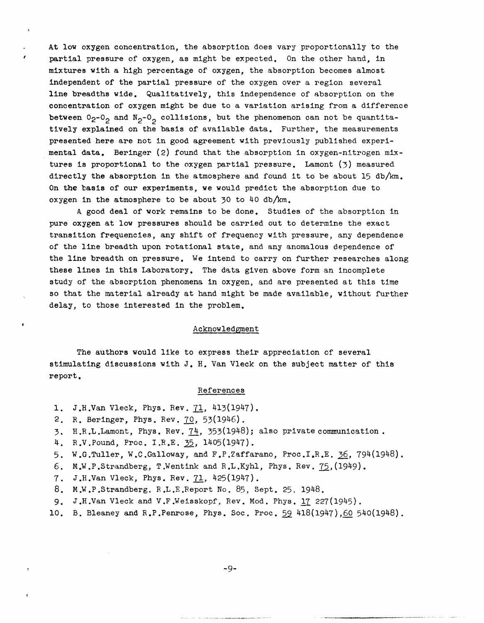At low oxygen concentration, the absorption does vary proportionally to the partial pressure of oxygen, as might be expected. On the other hand, in mixtures with a high percentage of oxygen, the absorption becomes almost independent of the partial pressure of the oxygen over a region several line breadths wide. Qualitatively, this independence of absorption on the concentration of oxygen might be due to a variation arising from a difference between  $0_2$ - $0_2$  and  $N_2$ - $0_2$  collisions, but the phenomenon can not be quantitatively explained on the basis of available data. Further, the measurements presented here are not in good agreement with previously published experimental data. Beringer (2) found that the absorption in oxygen-nitrogen mixtures is proportional to the oxygen partial pressure. Lamont (3) measured directly the absorption in the atmosphere and found it to be about 15  $db/km$ . On the basis of our experiments, we would predict the absorption due to oxygen in the atmosphere to be about 30 to 40 db/km.

A good deal of work remains to be done. Studies of the absorption in pure oxygen at low pressures should be carried out to determine the exact transition frequencies, any shift of frequency with pressure, any dependence of the line breadth upon rotational state, and any anomalous dependence of the line breadth on pressure. We intend to carry on further researches along these lines in this Laboratory. The data given above form an incomplete study of the absorption phenomena in oxygen, and are presented at this time so that the material already at hand might be made available, without further delay, to those interested in the problem.

#### Acknowledgment

The authors would like to express their appreciation of several stimulating discussions with J. H. Van Vleck on the subject matter of this report.

#### References

- 1. J.H.Van Vleck, Phys. Rev. 71, 413(1947).
- 2. R. Beringer, Phys. Rev. 70, 53(1946).

 $\rightarrow$ 

 $\epsilon$ 

- 3. H.R.L.Lamont, Phys. Rev. 74, 353(1948); also private communication .
- 4. RV.Pound, Proc. I.R.E. 35, 1405(1947).
- 5. W.G.Tuller, W.C.Galloway, and F.P.Zaffarano, Proc.I,R.E. 36, 794(1948).
- 6. M.W.P.Strandberg, T.Wentink and RL.Kyhl, Phys. Rev. 75,(1949).
- 7. J.H.Van Vleck, Phys. Rev. 71, 425(1947).
- 8. M.W.P.Strandberg. R.L.E.Report No. 85, Sept. 25. 1948.
- 9. J.H.Van Vleck and V.F.Weisskopf, Rev, Mod. Phys. 17 227(1945).
- 10. B. Bleaney and R.P.Penrose, Phys. Soc. Proc. 59 418(1947),60 540(1948).

-9-

.-. I..-t-- ·--- ·-- ·-- --